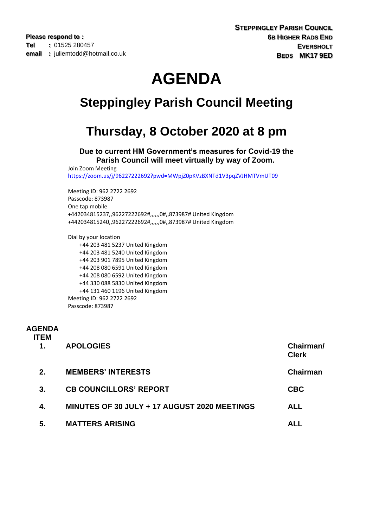# **AGENDA**

## **Steppingley Parish Council Meeting**

### **Thursday, 8 October 2020 at 8 pm**

**Due to current HM Government's measures for Covid-19 the Parish Council will meet virtually by way of Zoom.**

Join Zoom Meeting

[https://zoom.us/j/96227222692?pwd=MWpjZ0pKVzBXNTd1V3pqZVJHMTVmUT09](https://eur06.safelinks.protection.outlook.com/?url=https%3A%2F%2Fzoom.us%2Fj%2F96227222692%3Fpwd%3DMWpjZ0pKVzBXNTd1V3pqZVJHMTVmUT09&data=02%7C01%7C%7C66fd011c8e9449e4edcd08d8588fc1c7%7C84df9e7fe9f640afb435aaaaaaaaaaaa%7C1%7C0%7C637356721731008511&sdata=WrDdsdAcGJXR1O8l8hrMF8Twh9LzWigibBRRZ70y2S0%3D&reserved=0)

Meeting ID: 962 2722 2692 Passcode: 873987 One tap mobile +442034815237,,96227222692#,,,,,,0#,,873987# United Kingdom +442034815240,,96227222692#,,,,,,0#,,873987# United Kingdom

Dial by your location +44 203 481 5237 United Kingdom +44 203 481 5240 United Kingdom +44 203 901 7895 United Kingdom +44 208 080 6591 United Kingdom +44 208 080 6592 United Kingdom +44 330 088 5830 United Kingdom +44 131 460 1196 United Kingdom Meeting ID: 962 2722 2692 Passcode: 873987

#### **AGENDA**

**ITEM**

|    | <b>APOLOGIES</b>                             | Chairman/<br><b>Clerk</b> |
|----|----------------------------------------------|---------------------------|
| 2. | <b>MEMBERS' INTERESTS</b>                    | <b>Chairman</b>           |
| 3. | <b>CB COUNCILLORS' REPORT</b>                | <b>CBC</b>                |
| 4. | MINUTES OF 30 JULY + 17 AUGUST 2020 MEETINGS | <b>ALL</b>                |
| 5. | <b>MATTERS ARISING</b>                       | ALL                       |